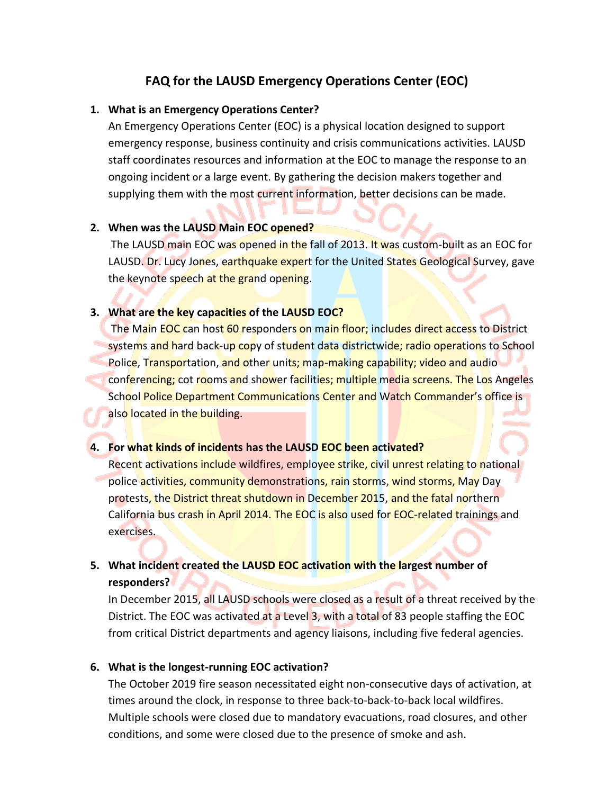# **FAQ for the LAUSD Emergency Operations Center (EOC)**

# **1. What is an Emergency Operations Center?**

An Emergency Operations Center (EOC) is a physical location designed to support emergency response, business continuity and crisis communications activities. LAUSD staff coordinates resources and information at the EOC to manage the response to an ongoing incident or a large event. By gathering the decision makers together and supplying them with the most current information, better decisions can be made.

## **2. When was the LAUSD Main EOC opened?**

The LAUSD main EOC was opened in the fall of 2013. It was custom-built as an EOC for LAUSD. Dr. Lucy Jones, earthquake expert for the United States Geological Survey, gave the keynote speech at the grand opening.

# **3. What are the key capacities of the LAUSD EOC?**

The Main EOC can host 60 responders on main floor; includes direct access to District systems and hard back-up copy of student data districtwide; radio operations to School Police, Transportation, and other units; map-making capability; video and audio conferencing; cot rooms and shower facilities; multiple media screens. The Los Angeles School Police Department Communications Center and Watch Commander's office is also located in the building.

## **4. For what kinds of incidents has the LAUSD EOC been activated?**

Recent activations include wildfires, employee strike, civil unrest relating to national police activities, community demonstrations, rain storms, wind storms, May Day protests, the District threat shutdown in December 2015, and the fatal northern California bus crash in April 2014. The EOC is also used for EOC-related trainings and exercises.

# **5. What incident created the LAUSD EOC activation with the largest number of responders?**

In December 2015, all LAUSD schools were closed as a result of a threat received by the District. The EOC was activated at a Level 3, with a total of 83 people staffing the EOC from critical District departments and agency liaisons, including five federal agencies.

# **6. What is the longest-running EOC activation?**

The October 2019 fire season necessitated eight non-consecutive days of activation, at times around the clock, in response to three back-to-back-to-back local wildfires. Multiple schools were closed due to mandatory evacuations, road closures, and other conditions, and some were closed due to the presence of smoke and ash.